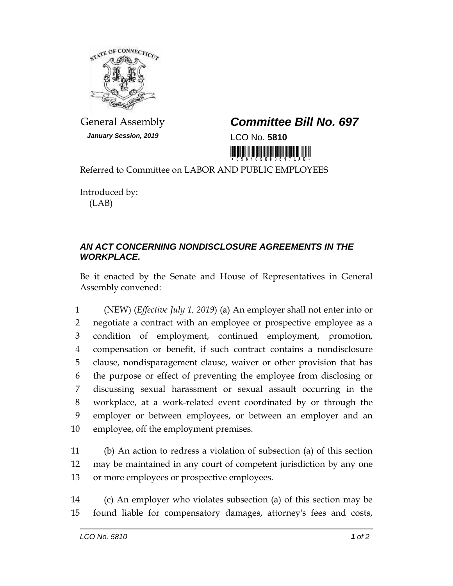

*January Session, 2019* LCO No. **5810**

## General Assembly *Committee Bill No. 697*



Referred to Committee on LABOR AND PUBLIC EMPLOYEES

Introduced by: (LAB)

## *AN ACT CONCERNING NONDISCLOSURE AGREEMENTS IN THE WORKPLACE.*

Be it enacted by the Senate and House of Representatives in General Assembly convened:

 (NEW) (*Effective July 1, 2019*) (a) An employer shall not enter into or negotiate a contract with an employee or prospective employee as a condition of employment, continued employment, promotion, compensation or benefit, if such contract contains a nondisclosure clause, nondisparagement clause, waiver or other provision that has the purpose or effect of preventing the employee from disclosing or discussing sexual harassment or sexual assault occurring in the workplace, at a work-related event coordinated by or through the employer or between employees, or between an employer and an employee, off the employment premises.

11 (b) An action to redress a violation of subsection (a) of this section 12 may be maintained in any court of competent jurisdiction by any one 13 or more employees or prospective employees.

14 (c) An employer who violates subsection (a) of this section may be 15 found liable for compensatory damages, attorney's fees and costs,